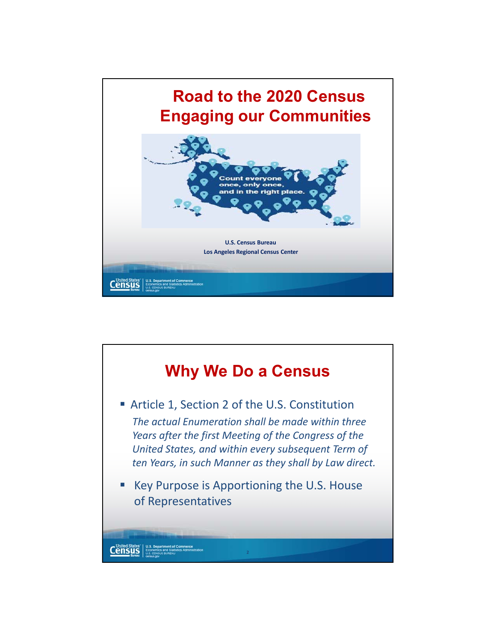

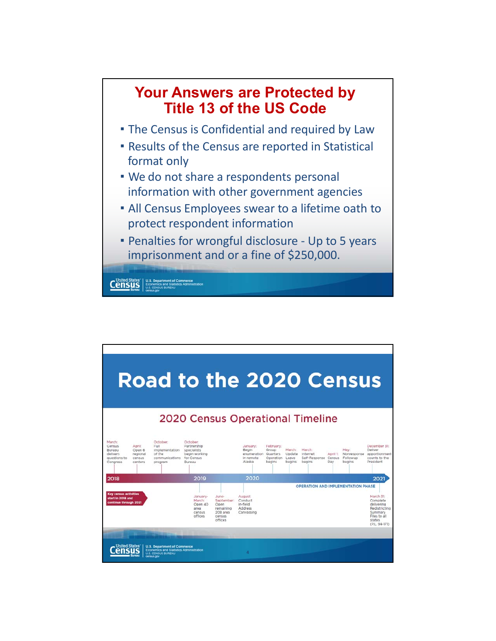

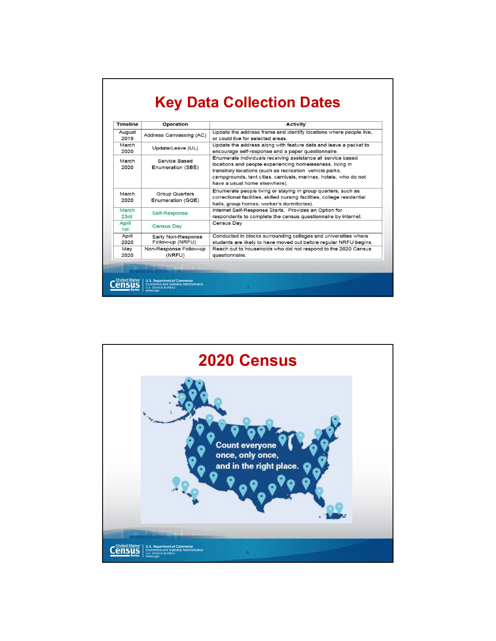## **Key Data Collection Dates**

| <b>Timeline</b> | Operation                                                                                                         | <b>Activity</b>                                                                                                                                                                                                                                                                          |
|-----------------|-------------------------------------------------------------------------------------------------------------------|------------------------------------------------------------------------------------------------------------------------------------------------------------------------------------------------------------------------------------------------------------------------------------------|
| August<br>2019  | Address Canvassing (AC)                                                                                           | Update the address frame and identify locations where people live,<br>or could live for selected areas                                                                                                                                                                                   |
| March<br>2020   | Update/Leave (UL)                                                                                                 | Update the address along with feature data and leave a packet to<br>encourage self-response and a paper questionnaire.                                                                                                                                                                   |
| March<br>2020   | Service Based<br>Enumeration (SBE)                                                                                | Enumerate individuals receiving assistance at service based<br>locations and people experiencing homelessness, living in<br>transitory locations (such as recreation vehicle parks,<br>campgrounds, tent cities, carnivals, marinas, hotels, who do not<br>have a usual home elsewhere). |
| March<br>2020   | Group Quarters<br>Enumeration (GQE)                                                                               | Enumerate people living or staying in group quarters, such as<br>correctional facilities, skilled nursing facilities, college residential<br>halls, group homes, worker's dormitories).                                                                                                  |
| March<br>23rd   | Self-Response                                                                                                     | Internet Self-Response Starts. Provides an Option for<br>respondents to complete the census questionnaire by internet.                                                                                                                                                                   |
| April<br>1st    | <b>Census Day</b>                                                                                                 | Census Day                                                                                                                                                                                                                                                                               |
| April<br>2020   | Early Non-Response<br>Follow-up (NRFU)                                                                            | Conducted in blocks surrounding colleges and universities where<br>students are likely to have moved out before regular NRFU begins.                                                                                                                                                     |
| May<br>2020     | Non-Response Follow-up<br>(NRFU)                                                                                  | Reach out to households who did not respond to the 2020 Census<br>questionnaire.                                                                                                                                                                                                         |
|                 |                                                                                                                   |                                                                                                                                                                                                                                                                                          |
|                 | <b>U.S. Department of Commerce</b><br><b>Economics and Statistics Administration</b><br><b>U.S. CENSUS BUREAU</b> | 5                                                                                                                                                                                                                                                                                        |

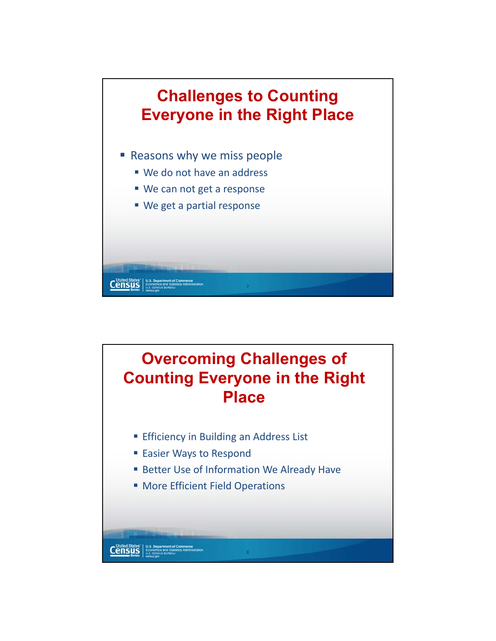

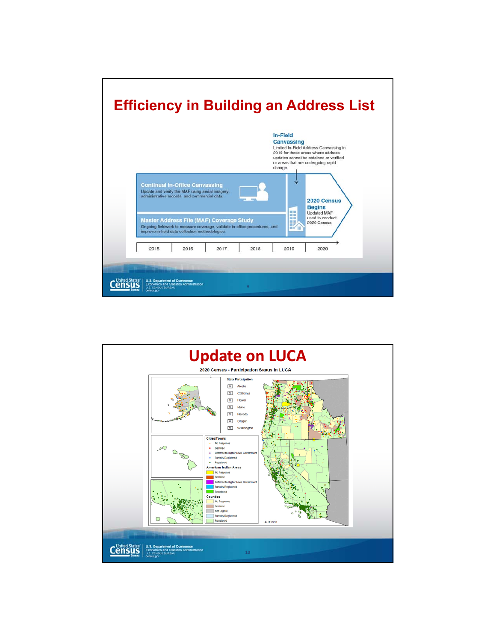

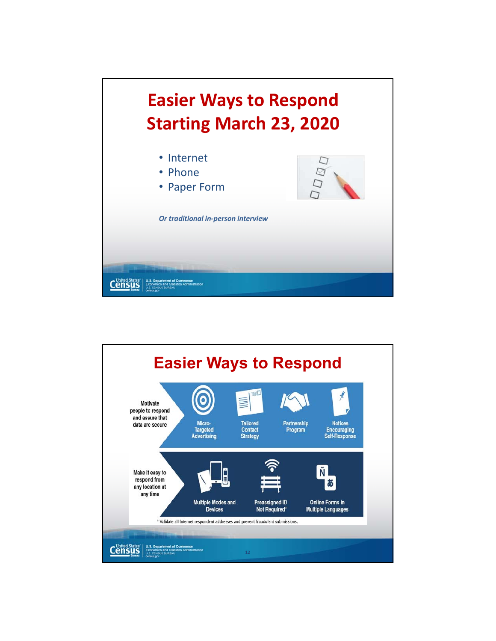

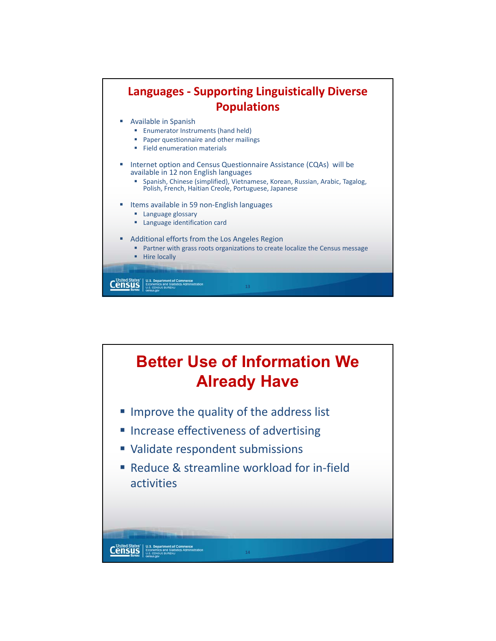

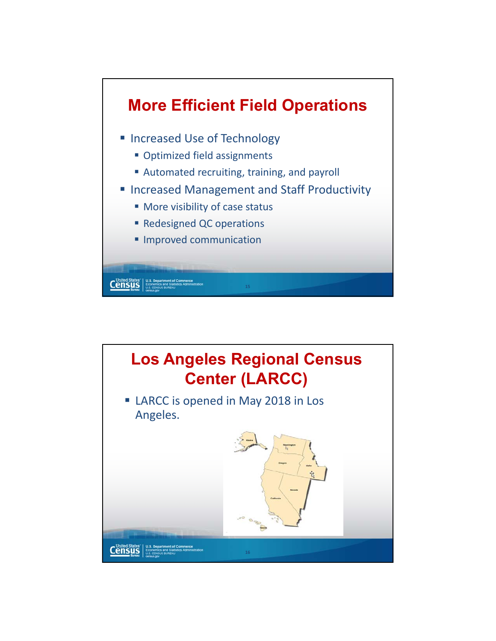

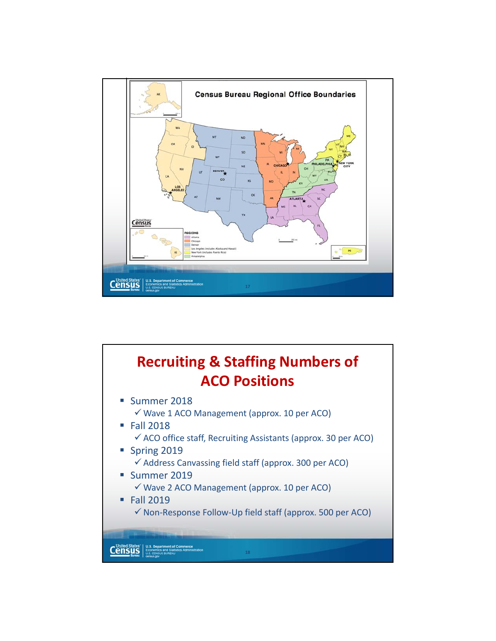

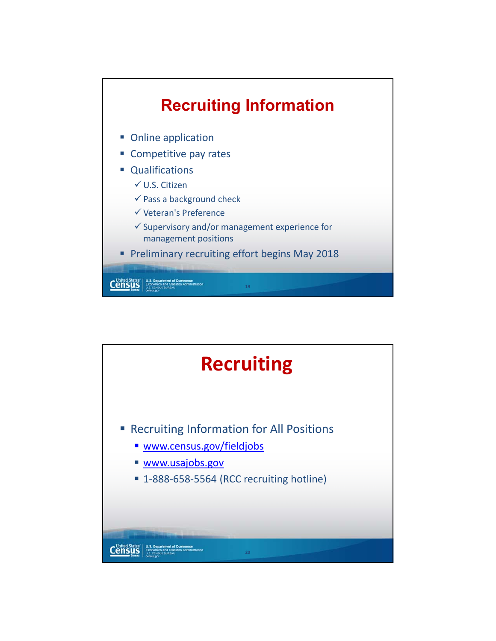

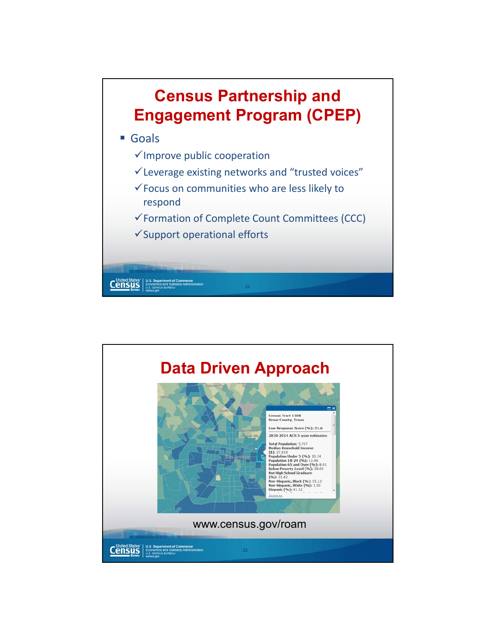

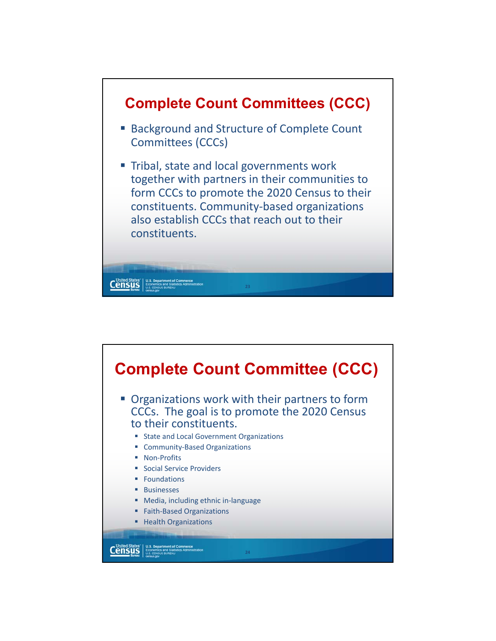

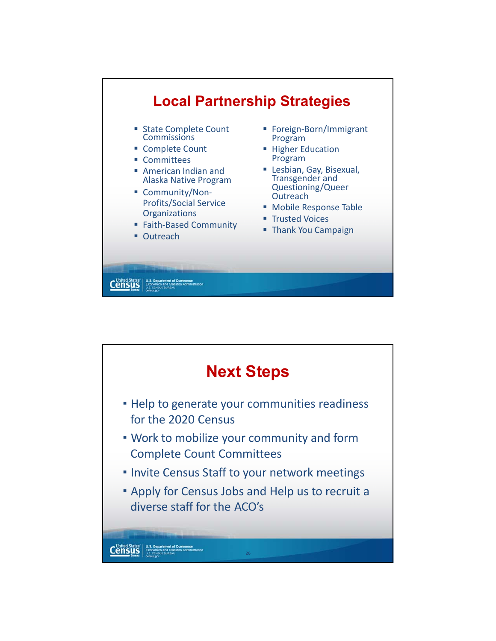